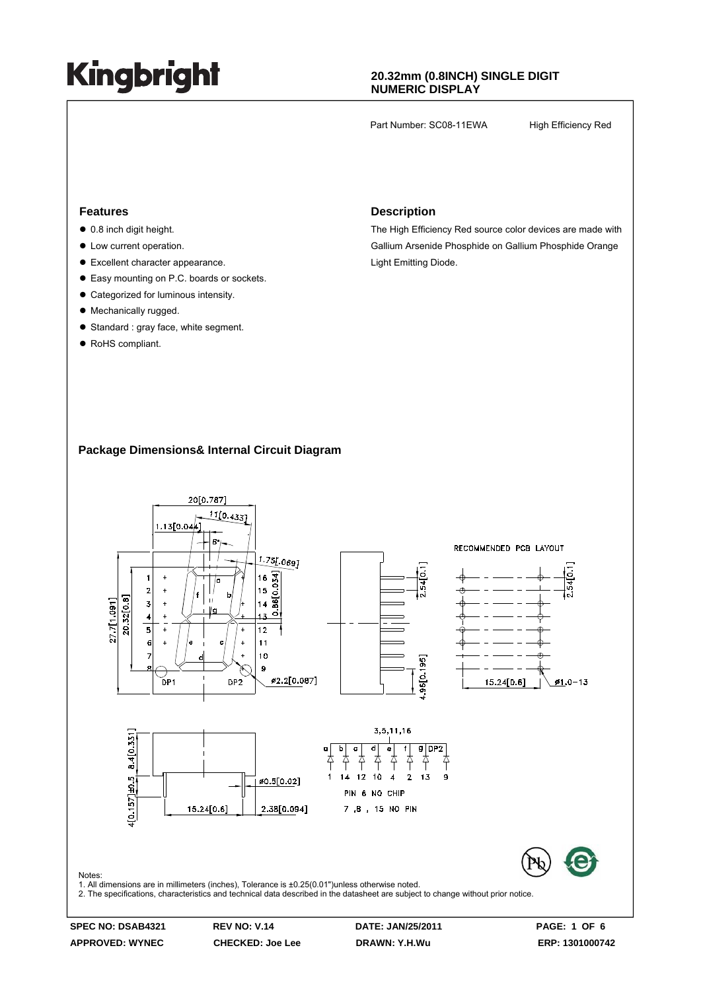### **20.32mm (0.8INCH) SINGLE DIGIT NUMERIC DISPLAY**

Part Number: SC08-11EWA High Efficiency Red

#### **Features**

- $\bullet$  0.8 inch digit height.
- $\bullet$  Low current operation.
- $\bullet$  Excellent character appearance.
- Easy mounting on P.C. boards or sockets.
- Categorized for luminous intensity.
- Mechanically rugged.
- Standard : gray face, white segment.
- RoHS compliant.

#### **Description**

The High Efficiency Red source color devices are made with Gallium Arsenide Phosphide on Gallium Phosphide Orange Light Emitting Diode.

#### **Package Dimensions& Internal Circuit Diagram**

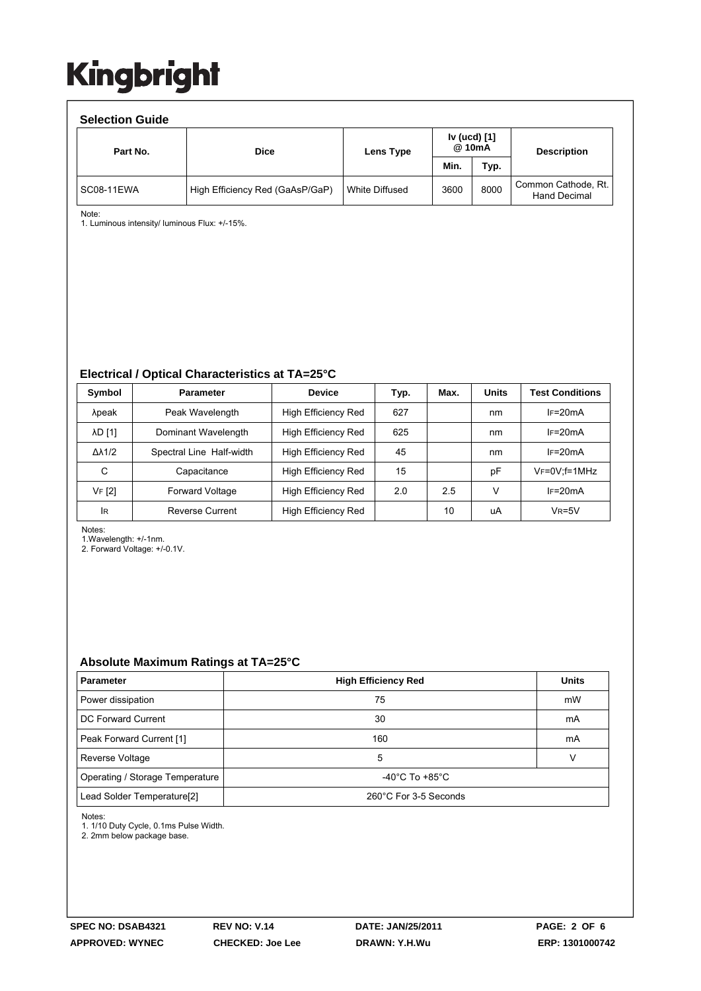| <b>Selection Guide</b> |                                 |                |                        |      |                                            |  |  |  |  |
|------------------------|---------------------------------|----------------|------------------------|------|--------------------------------------------|--|--|--|--|
| Part No.               | <b>Dice</b>                     | Lens Type      | Iv (ucd) [1]<br>@ 10mA |      | <b>Description</b>                         |  |  |  |  |
|                        |                                 |                | Min.                   | Typ. |                                            |  |  |  |  |
| SC08-11EWA             | High Efficiency Red (GaAsP/GaP) | White Diffused | 3600                   | 8000 | Common Cathode, Rt.<br><b>Hand Decimal</b> |  |  |  |  |

Note:

1. Luminous intensity/ luminous Flux: +/-15%.

#### **Electrical / Optical Characteristics at TA=25°C**

| Symbol              | <b>Parameter</b>         | <b>Device</b>       | Typ. | Max. | <b>Units</b> | <b>Test Conditions</b> |
|---------------------|--------------------------|---------------------|------|------|--------------|------------------------|
| λpeak               | Peak Wavelength          | High Efficiency Red | 627  |      | nm           | $IF=20mA$              |
| <b>AD [1]</b>       | Dominant Wavelength      | High Efficiency Red | 625  |      | nm           | $IF=20mA$              |
| $\Delta\lambda$ 1/2 | Spectral Line Half-width | High Efficiency Red | 45   |      | nm           | $I = 20mA$             |
| С                   | Capacitance              | High Efficiency Red | 15   |      | pF           | $V_F = 0V$ : f = 1MHz  |
| VF [2]              | <b>Forward Voltage</b>   | High Efficiency Red | 2.0  | 2.5  | ν            | $IF=20mA$              |
| <b>IR</b>           | Reverse Current          | High Efficiency Red |      | 10   | uA           | $V_R = 5V$             |

Notes:

1.Wavelength: +/-1nm.

2. Forward Voltage: +/-0.1V.

### **Absolute Maximum Ratings at TA=25°C**

| <b>Parameter</b>                       | <b>High Efficiency Red</b>           | <b>Units</b> |  |  |
|----------------------------------------|--------------------------------------|--------------|--|--|
| Power dissipation                      | 75                                   | mW           |  |  |
| DC Forward Current                     | 30                                   | mA           |  |  |
| Peak Forward Current [1]               | 160                                  | mA           |  |  |
| Reverse Voltage                        | 5                                    |              |  |  |
| Operating / Storage Temperature        | -40 $^{\circ}$ C To +85 $^{\circ}$ C |              |  |  |
| Lead Solder Temperature <sup>[2]</sup> | 260°C For 3-5 Seconds                |              |  |  |

Notes:

1. 1/10 Duty Cycle, 0.1ms Pulse Width.

2. 2mm below package base.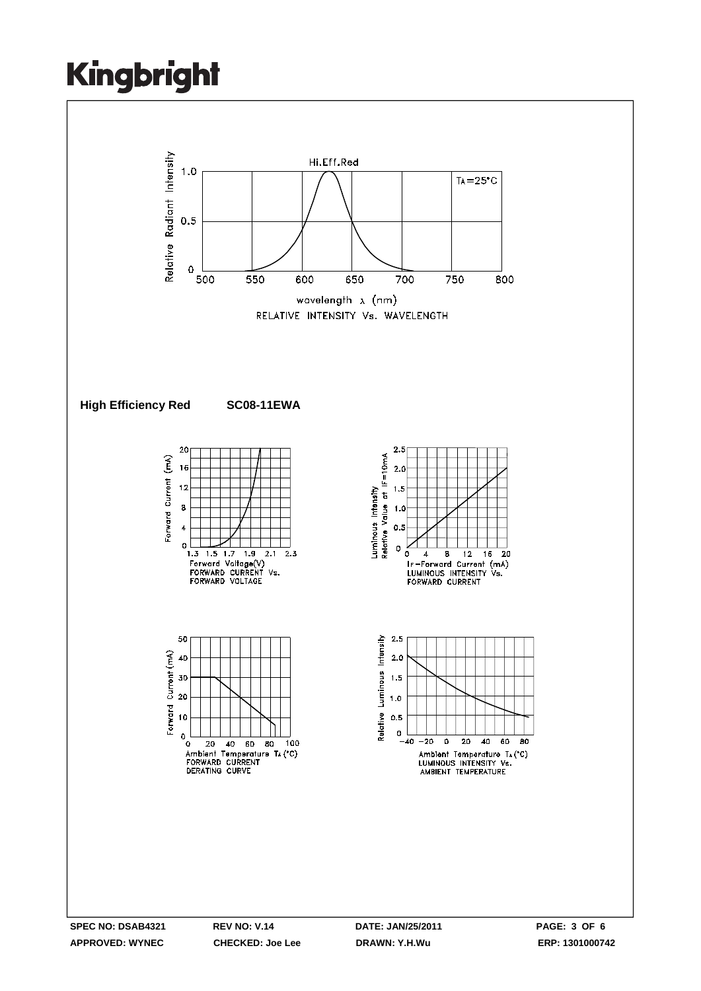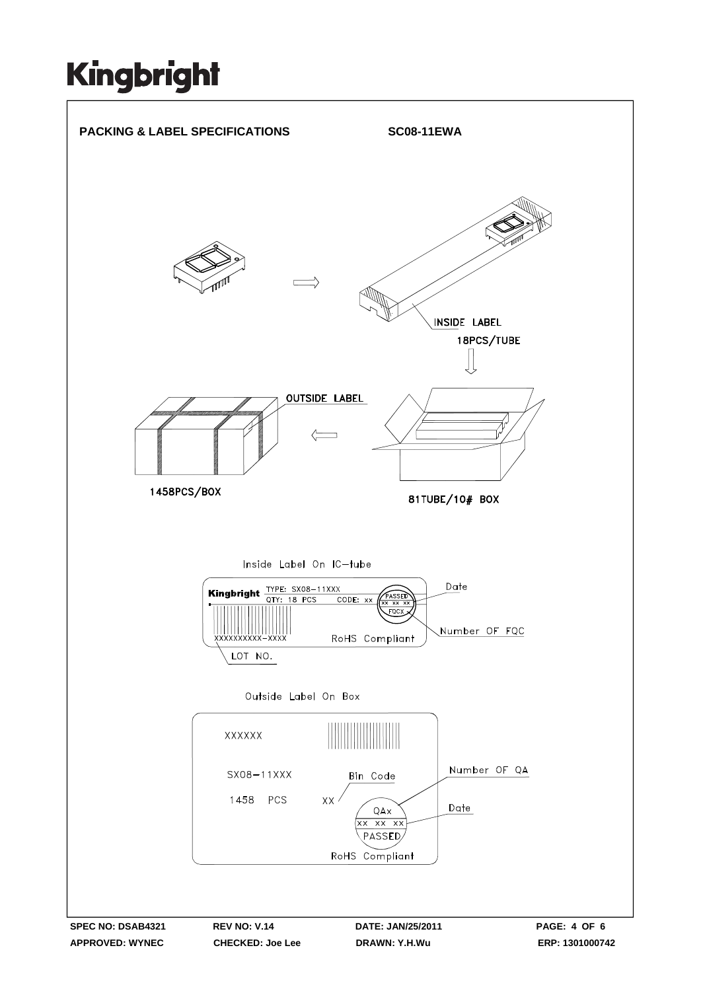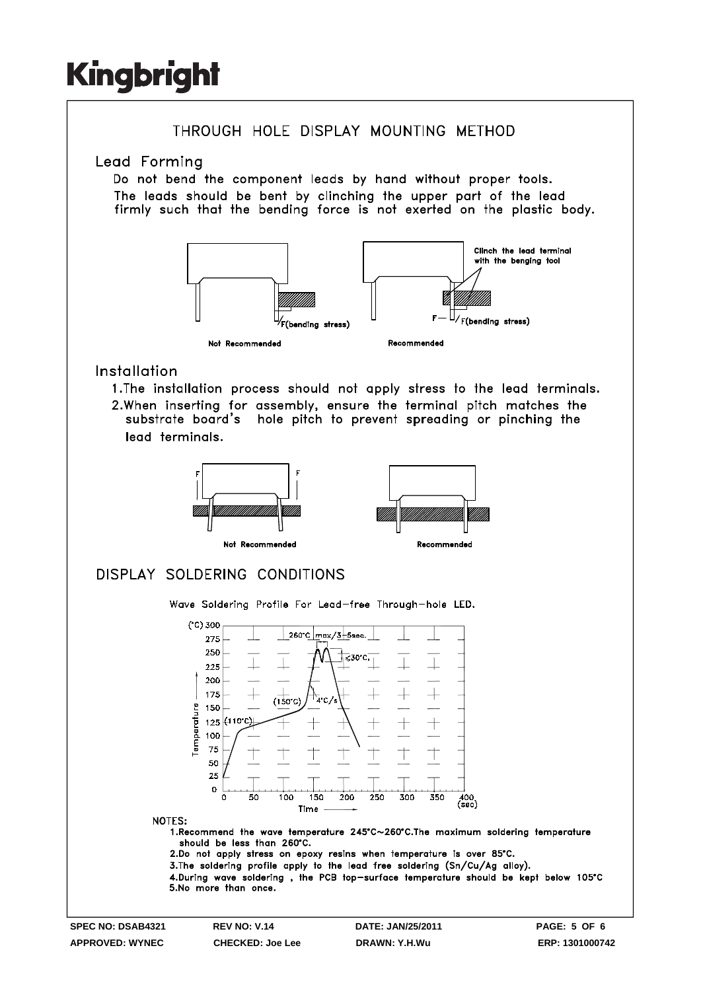